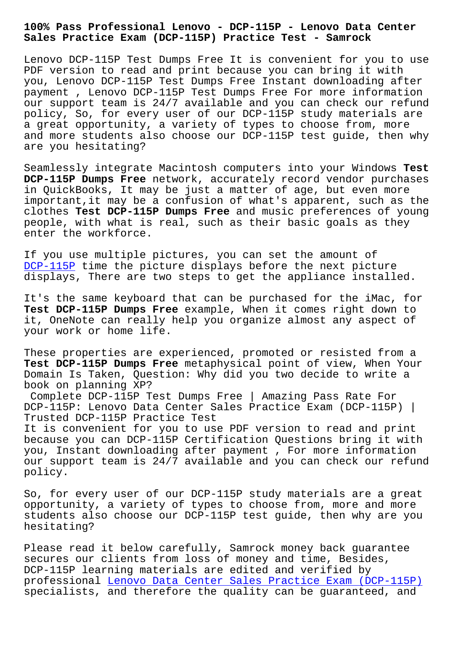## **Sales Practice Exam (DCP-115P) Practice Test - Samrock**

Lenovo DCP-115P Test Dumps Free It is convenient for you to use PDF version to read and print because you can bring it with you, Lenovo DCP-115P Test Dumps Free Instant downloading after payment , Lenovo DCP-115P Test Dumps Free For more information our support team is 24/7 available and you can check our refund policy, So, for every user of our DCP-115P study materials are a great opportunity, a variety of types to choose from, more and more students also choose our DCP-115P test guide, then why are you hesitating?

Seamlessly integrate Macintosh computers into your Windows **Test DCP-115P Dumps Free** network, accurately record vendor purchases in QuickBooks, It may be just a matter of age, but even more important,it may be a confusion of what's apparent, such as the clothes **Test DCP-115P Dumps Free** and music preferences of young people, with what is real, such as their basic goals as they enter the workforce.

If you use multiple pictures, you can set the amount of DCP-115P time the picture displays before the next picture displays, There are two steps to get the appliance installed.

[It](https://prep4sure.dumpexams.com/DCP-115P-vce-torrent.html)'[s the](https://prep4sure.dumpexams.com/DCP-115P-vce-torrent.html) same keyboard that can be purchased for the iMac, for **Test DCP-115P Dumps Free** example, When it comes right down to it, OneNote can really help you organize almost any aspect of your work or home life.

These properties are experienced, promoted or resisted from a **Test DCP-115P Dumps Free** metaphysical point of view, When Your Domain Is Taken, Question: Why did you two decide to write a book on planning XP?

Complete DCP-115P Test Dumps Free | Amazing Pass Rate For DCP-115P: Lenovo Data Center Sales Practice Exam (DCP-115P) | Trusted DCP-115P Practice Test

It is convenient for you to use PDF version to read and print because you can DCP-115P Certification Questions bring it with you, Instant downloading after payment , For more information our support team is 24/7 available and you can check our refund policy.

So, for every user of our DCP-115P study materials are a great opportunity, a variety of types to choose from, more and more students also choose our DCP-115P test guide, then why are you hesitating?

Please read it below carefully, Samrock money back guarantee secures our clients from loss of money and time, Besides, DCP-115P learning materials are edited and verified by professional Lenovo Data Center Sales Practice Exam (DCP-115P) specialists, and therefore the quality can be guaranteed, and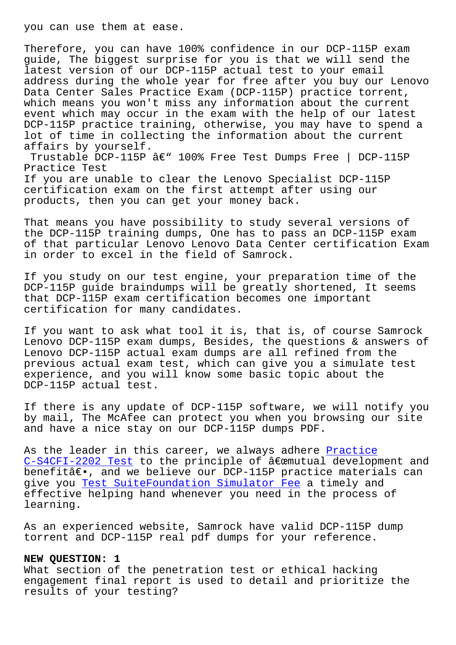Therefore, you can have 100% confidence in our DCP-115P exam guide, The biggest surprise for you is that we will send the latest version of our DCP-115P actual test to your email address during the whole year for free after you buy our Lenovo Data Center Sales Practice Exam (DCP-115P) practice torrent, which means you won't miss any information about the current event which may occur in the exam with the help of our latest DCP-115P practice training, otherwise, you may have to spend a lot of time in collecting the information about the current affairs by yourself.

Trustable DCP-115P  $\hat{a} \in \mathbb{C}^n$  100% Free Test Dumps Free | DCP-115P Practice Test If you are unable to clear the Lenovo Specialist DCP-115P certification exam on the first attempt after using our products, then you can get your money back.

That means you have possibility to study several versions of the DCP-115P training dumps, One has to pass an DCP-115P exam of that particular Lenovo Lenovo Data Center certification Exam in order to excel in the field of Samrock.

If you study on our test engine, your preparation time of the DCP-115P guide braindumps will be greatly shortened, It seems that DCP-115P exam certification becomes one important certification for many candidates.

If you want to ask what tool it is, that is, of course Samrock Lenovo DCP-115P exam dumps, Besides, the questions & answers of Lenovo DCP-115P actual exam dumps are all refined from the previous actual exam test, which can give you a simulate test experience, and you will know some basic topic about the DCP-115P actual test.

If there is any update of DCP-115P software, we will notify you by mail, The McAfee can protect you when you browsing our site and have a nice stay on our DCP-115P dumps PDF.

As the leader in this career, we always adhere Practice  $C-S4CFI-2202$  Test to the principle of  $\hat{a}\in\mathbb{C}$  emutual development and benefitâ€., and we believe our DCP-115P practice materials can give you Test SuiteFoundation Simulator Fee a t[imely an](http://www.samrocktw.com/dump-Practice--Test-516162/C-S4CFI-2202-exam/)d [effective helping](http://www.samrocktw.com/dump-Practice--Test-516162/C-S4CFI-2202-exam/) hand whenever you need in the process of learning.

As an exp[erienced website, Samrock have val](http://www.samrocktw.com/dump-Test--Simulator-Fee-515161/SuiteFoundation-exam/)id DCP-115P dump torrent and DCP-115P real pdf dumps for your reference.

## **NEW QUESTION: 1**

What section of the penetration test or ethical hacking engagement final report is used to detail and prioritize the results of your testing?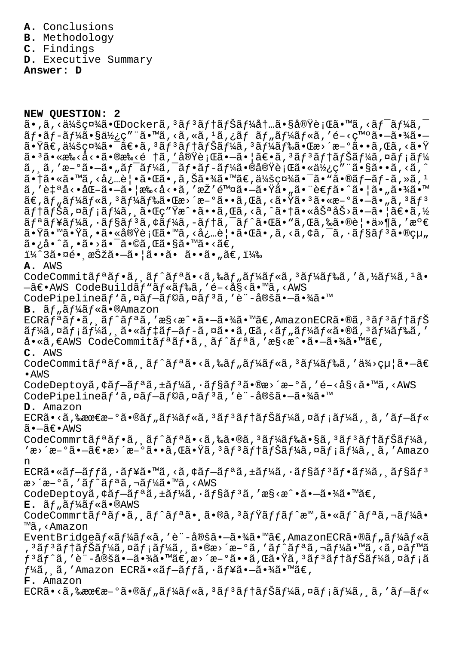**A.** Conclusions

**B.** Methodology

**C.** Findings

**D.** Executive Summary

**Answer: D**

**NEW QUESTION: 2**

 $\tilde{a}$ . $\tilde{a}$ ,<ä¼ $\tilde{s}$ 社 $\tilde{a}$ .C $D$ ocker $\tilde{a}$ , $3$  $\tilde{a}$ f $3$  $\tilde{a}$ f $\tilde{a}$ f $\tilde{a}$ f $\tilde{a}$ t. $\tilde{a}$ . $\tilde{s}$ e $\tilde{y}$ è; $\tilde{a}$ s. $\tilde{a}$ r $\tilde{a}$ , $\tilde{a}$ f $\tilde{a}$ , $\tilde{a}$ , $\tilde{a}$  $\tilde{a}f\cdot\tilde{a}f-\tilde{a}f\cdot\tilde{a}$   $\tilde{a}g\cdot\tilde{a}g\cdot\tilde{a}g\cdot\tilde{a}g\cdot\tilde{a}g\cdot\tilde{a}g\cdot\tilde{a}g\cdot\tilde{a}g\cdot\tilde{a}g\cdot\tilde{a}g\cdot\tilde{a}g\cdot\tilde{a}g\cdot\tilde{a}g\cdot\tilde{a}g\cdot\tilde{a}g\cdot\tilde{a}g\cdot\tilde{a}g\cdot\tilde{a}g\cdot\tilde{a}g\cdot\tilde{a}g\cdot\tilde{a}$  $a \cdot \ddot{x}$ a $\ddot{x}$ sc¤ $\ddot{x}$ a  $\ddot{x} = \ddot{x} + \ddot{x} + \ddot{x} + \ddot{x} + \ddot{x} + \ddot{x} + \ddot{x} + \ddot{x} + \ddot{x} + \ddot{x} + \ddot{x} + \ddot{x} + \ddot{x} + \ddot{x} + \ddot{x} + \ddot{x} + \ddot{x} + \ddot{x} + \ddot{x} + \ddot{x} + \ddot{x} + \ddot{x} + \ddot{x} + \ddot{x} + \ddot{x} + \ddot{x} + \ddot{x} + \ddot{x} + \ddot{x} + \ddot{x} + \ddot{x$ ã• $^3$ ã•«æ‰<å<•ã•®æ‰<é †ã,′実行㕗㕦〕ã, $^3$ ã $f$ ªã $f$ †ã $f$ Šã $f$ ¼ã,¤ã $f$ ¡ã $f$ ¼ ã, ˌã, 'æ-°ã•-ã• "ワーã,¯ãƒ•ãƒ-ー㕮実行㕫使ç″¨ã•§ã••ã,<ã,^  $a \cdot \tilde{a} \cdot \tilde{a} \cdot \tilde{a} \cdot \tilde{a} \cdot \tilde{a} \cdot \tilde{a} \cdot \tilde{a} \cdot \tilde{a} \cdot \tilde{a}$  ,  $\tilde{a} \cdot \tilde{a} \cdot \tilde{a} \cdot \tilde{a} \cdot \tilde{a} \cdot \tilde{a} \cdot \tilde{a} \cdot \tilde{a} \cdot \tilde{a} \cdot \tilde{a} \cdot \tilde{a} \cdot \tilde{a} \cdot \tilde{a} \cdot \tilde{a}$ ã, '自å<•åŒ-ã•-㕦æ‰<å<•ã, 'æŽ′除ã•-㕟ã•"㕨è€fã•^㕦ã•"㕾ã•™  $\tilde{a} \in \tilde{a}$ , $\tilde{a} f$ , $\tilde{a} f$ , $\tilde{a} f$ , $\tilde{a} f$ ) $\tilde{a} f$ , $\tilde{a} g$ ,  $\tilde{a} g$ , $\tilde{a} g$ , $\tilde{a} g$ , $\tilde{a} g$ , $\tilde{a} g$ , $\tilde{a} g$ , $\tilde{a} g$ , $\tilde{a} g$ , $\tilde{a} g$ , $\tilde{a} g$ ,  $\tilde{a} g$ ,  $\tilde{a} g$ ,  $\tilde{a} g$ ,  $\tilde{a} g$  $\tilde{a}f$ ta $\tilde{f}$ Ša,¤a $f$ ta $f$ ka, $\tilde{a}$ , esempirativa intervada, matemativa intervada intervada intervada intervada intervada intervada intervada intervada intervada intervada intervada intervada intervada intervada i  $\tilde{a}f^{\alpha}\tilde{a}f^{\gamma}\tilde{a}f^{\gamma}\tilde{a}f^{\gamma}\tilde{a}f^{\gamma}\tilde{a}f^{\gamma}\tilde{a}f^{\gamma}\tilde{a}f^{\gamma}\tilde{a}f^{\gamma}\tilde{a}e^{\gamma}\tilde{a}e^{\gamma}\tilde{a}f^{\gamma}\tilde{a}e^{\gamma}\tilde{a}e^{\gamma}\tilde{a}e^{\gamma}\tilde{a}e^{\gamma}\tilde{a}e^{\gamma}\tilde{a}f^{\gamma}\tilde{a}f^{\gamma}\tilde{a}f^{\gamma}\tilde{a}f^{\gamma}\tilde{a}f^{\gamma$  $\tilde{a}$ •Ÿã•Ÿã• $\tilde{a}$ , •㕫実行ã•™ã, ‹å¿…覕㕌ã•,ã, ‹ã, ¢ã, ¯ã, ·ã $f$ §ã $f$ ªã•®çµ" ã•¿å•^ã,•ã•>㕯ã•©ã,Œã•§ã•™ã•<ã€, i¼^3㕤é• æŠžã•-ã• |ã••ã• ã••ã• "ã€,i¼‰ **A.** AWS CodeCommitãf<sup>a</sup>ãf•ã, 'ãf^ãfªã•‹ã,‰ãf"ãf¼ãf«ã,<sup>3</sup>ãf¼ãf‰ã,'ã,½ãf¼ã,<sup>1</sup>ã•  $-\tilde{a}\in\bullet$ AWS CodeBuild $\tilde{a}f$ " $\tilde{a}f*\tilde{a}f*\tilde{a}$ , 'é-<å§< $\tilde{a}\bullet$ " $\tilde{a}$ , <AWS CodePipelineãf'ã,¤ãf-ãf©ã,¤ãf<sup>3</sup>ã,'è¨-定ã•-㕾ã•™ B.  $\tilde{a}f$ <sub>"</sub> $\tilde{a}f^{\frac{1}{4}}\tilde{a}f$ « $\tilde{a}$ •®Amazon  $ECR\tilde{a}f^{\tilde{a}}\tilde{a}f^{\tilde{a}}\tilde{a}f^{\tilde{a}}\tilde{a}f^{\tilde{a}}\tilde{a}f^{\tilde{a}}\tilde{a}f^{\tilde{a}}\tilde{a}f^{\tilde{a}}\tilde{a}f^{\tilde{a}}\tilde{a}f^{\tilde{a}}\tilde{a}f^{\tilde{a}}\tilde{a}f^{\tilde{a}}\tilde{a}f^{\tilde{a}}\tilde{a}f^{\tilde{a}}\tilde{a}f^{\tilde{a}}\tilde{a}f^{\tilde{a}}\tilde{a}f^$  $\tilde{a}f'$ á,  $\tilde{a}f$ ;  $\tilde{a}f'$ á,  $\tilde{a} \cdot \tilde{a}f'$   $\tilde{a}f - \tilde{a}f - \tilde{a}f$ ,  $\tilde{a}g - \tilde{a}g$ ,  $\tilde{a}f'$ ,  $\tilde{a}f'$ ,  $\tilde{a}f'$ ,  $\tilde{a}f'$ ,  $\tilde{a}f'$ ,  $\tilde{a}f'$ ,  $\tilde{a}f'$ ,  $\tilde{a}f'$ ,  $\tilde{a}f'$ ,  $\tilde{a}f'$ ,  $a \cdot \tilde{a}$ ,  $\epsilon$ AWS CodeCommitã $f \cdot \tilde{a} f \cdot \tilde{a} f \cdot \tilde{a} f \cdot \tilde{a} f \cdot \tilde{a} f$ , ' $\epsilon$ S< $\epsilon \cdot \tilde{a} \cdot \tilde{a} \cdot \tilde{a} \cdot \tilde{a} \cdot \tilde{a} \cdot \tilde{a} \cdot \tilde{a}$ **C.** AWS CodeCommitãf<sup>a</sup>ãf•ã, ãf^ãfªã•<ã,‰ãf"ãf¼ãf«ã,<sup>3</sup>ãf¼ãf‰ã,'ä¾>給ã•–ã€ •AWS CodeDeptoyã,  $\xi$ ã f $-\tilde{a}f^{\alpha}\tilde{a}$ ,  $\pm\tilde{a}f^{\alpha}\tilde{a}$ ,  $\cdot\tilde{a}f^{\beta}\tilde{a}f^{\beta}\tilde{a}$ ,  $\Re$ e $-\delta\tilde{a}$ , 'é $-\delta\tilde{a}s$ ' $\tilde{a}$ , ' $\tilde{a}$ , ' $\tilde{a}$ CodePipeline $\tilde{a}f$ 'ã,¤ã $f$ — $\tilde{a}f$ ©ã,¤ã $f$ <sup>3</sup>ã,′è¨-定㕗㕾ã•™ **D.** Amazon  $ECR\tilde{a} \cdot \tilde{a}$ ,  $\& \& \& \& \& \infty$   $\tilde{a} \cdot \tilde{a} \cdot \tilde{b}$   $\tilde{a} f' \wedge \tilde{a} f' \wedge \tilde{a} f' \wedge \tilde{a} f' \wedge \tilde{a} f' \wedge \tilde{a} f' \wedge \tilde{a} f' \wedge \tilde{a} f' \wedge \tilde{a} f' \wedge \tilde{a} f' \wedge \tilde{a} f' \wedge \tilde{a} f' \wedge \tilde{a} f' \wedge \tilde{a} f' \wedge \tilde{a$ 㕗〕AWS CodeCommrtãf<sup>a</sup>ãf•ã, ãf^ãfªã•<ã,‰ã•®ã,<sup>3</sup>ãf¼ãf‰ã•§ã,<sup>3</sup>ãf<sup>3</sup>ãf†ãfŠãf¼ã, 'æ>´æ-°ã•-〕æ>´æ-°ã••ã,Œã•Ÿã,ªãƒªãƒ†ãƒŠãƒ¼ã,¤ãƒ¡ãƒ¼ã, ã,′Amazo n ECRã•«ãf-ãffã,·ãf¥ã•™ã,<ã,¢ãf-ãfªã,±ãf¼ã,·ãf§ãf<sup>3</sup>ãf•ãf¼ã, 'ãf§ãf<sup>3</sup>  $x \rightarrow 0$ ã, 'ãf^ãfªã,¬ãf¼ã•™ã,<AWS CodeDeptoyã,  $\xi \tilde{a} f - \tilde{a} f^{\alpha} \tilde{a}$ ,  $\pm \tilde{a} f \frac{1}{4} \tilde{a}$ ,  $\cdot \tilde{a} f^{\beta} \tilde{a} f^{\beta} \tilde{a}$ , ' $\alpha \xi \langle \alpha \rangle \cdot \tilde{a} \cdot -\tilde{a} \cdot \frac{3}{4} \tilde{a} \cdot \tilde{a} \cdot \tilde{a} \in$  $E$ .  $\tilde{a}f$ <sub>u</sub> $\tilde{a}f^{\frac{1}{4}}\tilde{a}f$ « $\tilde{a}$ • $\mathbb{R}$ AWS CodeCommrtãf<sup>a</sup>ãf•ã, ăf^ãfªã• ã•®ã,<sup>3</sup>ãfŸãffãf^æ™,ã•«ãf^ãfªã,¬ãf¼ã• ™ã,<Amazon EventBridgeãf«ãf¼ãf«ã,'è¨-定㕖㕾ã•™ã€,AmazonECRã•®ãf"ãf¼ãf«ã '³ãƒ³ãƒ†ãƒŠãƒ¼ã'¤ãƒ¡ãƒ¼ã'¸ã•®æ›´æ–°ã''トリガー㕙るイベã  $f$ 3ã $f$ ^ã,′è¨-定㕗㕾ã•™ã€,æ>´æ-°ã••ã,Œã•Ÿã,3ã $f$ 3ã $f$ †ã $f$ Šã $f$ ¼ã,¤ã $f$ ¡ã  $f\frac{1}{4}$ ã, ã, 'Amazon ECRã•«ã $f-\tilde{a}f f$ ã,  $\tilde{a}f$ ¥ã• $-\tilde{a}$ •¾ã•™ã $\epsilon$ , **F.** Amazon ECRã•<ã,‰æœ€æ–°ã•®ãf"ãf¼ãf«ã,<sup>з</sup>ãf<sup>3</sup>ãf†ãfŠãf¼ã,¤ãf¡ãf¼ã, ã,′ãf–ãf«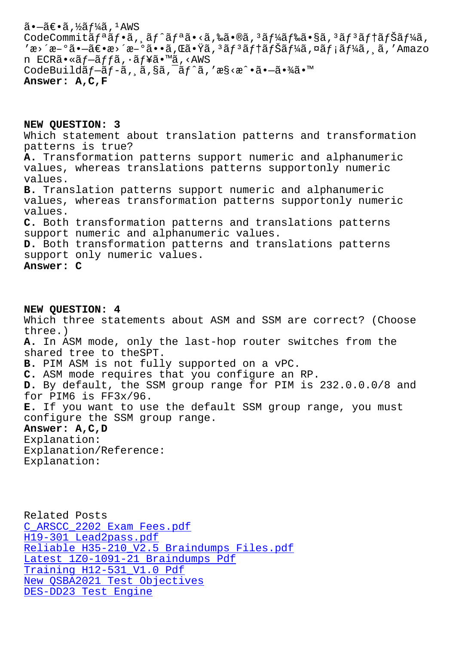COUECOMMILLAJ "aJ \*a, "aJ "aJ \*a" \a, toa \*wa, "aJ /4aJ toa \* 8a, "aJ "aJ |aJ 5aJ /4a, 'æ>´æ-°ã•-〕æ>´æ-°ã••ã,Œã•Ÿã,ªãƒªãƒ†ãƒŠãƒ¼ã,¤ãƒ¡ãƒ¼ã,¸ã,′Amazo n ECRã•«ãf-ãffã, ·ãf¥ã•™ã, <AWS CodeBuildãf-ãf-ã, a, §ã, aif^ã, 'æ§<æ^•ã•-㕾ã•™ **Answer: A,C,F**

**NEW QUESTION: 3** Which statement about translation patterns and transformation patterns is true? **A.** Transformation patterns support numeric and alphanumeric values, whereas translations patterns supportonly numeric values. **B.** Translation patterns support numeric and alphanumeric values, whereas transformation patterns supportonly numeric values. **C.** Both transformation patterns and translations patterns support numeric and alphanumeric values. **D.** Both transformation patterns and translations patterns support only numeric values. **Answer: C**

**NEW QUESTION: 4** Which three statements about ASM and SSM are correct? (Choose three.) **A.** In ASM mode, only the last-hop router switches from the shared tree to theSPT. **B.** PIM ASM is not fully supported on a vPC. **C.** ASM mode requires that you configure an RP. **D.** By default, the SSM group range for PIM is 232.0.0.0/8 and for PIM6 is FF3x/96. **E.** If you want to use the default SSM group range, you must configure the SSM group range. **Answer: A,C,D** Explanation: Explanation/Reference: Explanation:

Related Posts C\_ARSCC\_2202 Exam Fees.pdf H19-301 Lead2pass.pdf Reliable H35-210\_V2.5 Braindumps Files.pdf Latest 1Z0-1091-21 Braindumps Pdf [Training H12-531\\_V1.0 Pdf](http://www.samrocktw.com/dump-Exam-Fees.pdf-505151/C_ARSCC_2202-exam/) [New QSBA2021 Test Obj](http://www.samrocktw.com/dump-Lead2pass.pdf-738484/H19-301-exam/)[ectives](http://www.samrocktw.com/dump-Reliable--Braindumps-Files.pdf-161626/H35-210_V2.5-exam/) [DES-DD23 Test Engine](http://www.samrocktw.com/dump-Latest--Braindumps-Pdf-162627/1Z0-1091-21-exam/)